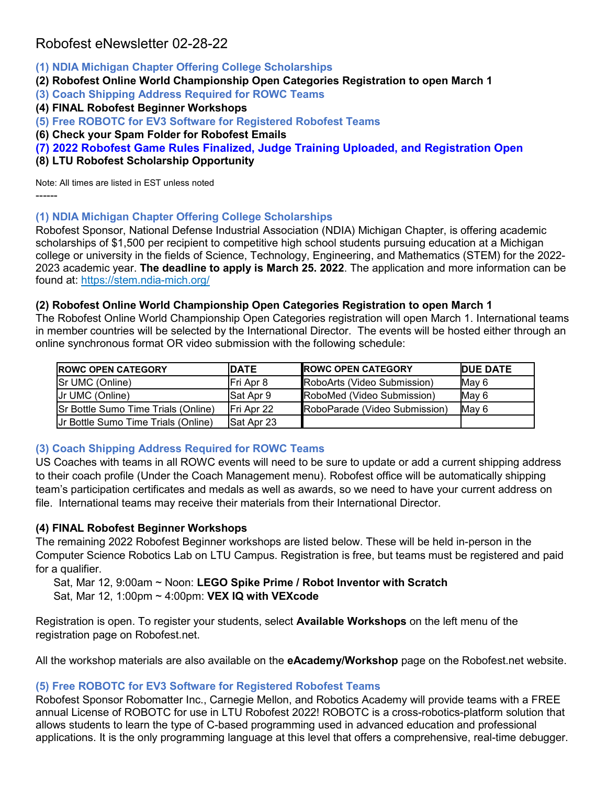# Robofest eNewsletter 02-28-22

- **(1) NDIA Michigan Chapter Offering College Scholarships**
- **(2) Robofest Online World Championship Open Categories Registration to open March 1**
- **(3) Coach Shipping Address Required for ROWC Teams**
- **(4) FINAL Robofest Beginner Workshops**
- **(5) Free ROBOTC for EV3 Software for Registered Robofest Teams**
- **(6) Check your Spam Folder for Robofest Emails**
- **(7) 2022 Robofest Game Rules Finalized, Judge Training Uploaded, and Registration Open**
- **(8) LTU Robofest Scholarship Opportunity**

Note: All times are listed in EST unless noted ------

#### **(1) NDIA Michigan Chapter Offering College Scholarships**

Robofest Sponsor, National Defense Industrial Association (NDIA) Michigan Chapter, is offering academic scholarships of \$1,500 per recipient to competitive high school students pursuing education at a Michigan college or university in the fields of Science, Technology, Engineering, and Mathematics (STEM) for the 2022- 2023 academic year. **The deadline to apply is March 25. 2022**. The application and more information can be found at: <https://stem.ndia-mich.org/>

#### **(2) Robofest Online World Championship Open Categories Registration to open March 1**

The Robofest Online World Championship Open Categories registration will open March 1. International teams in member countries will be selected by the International Director. The events will be hosted either through an online synchronous format OR video submission with the following schedule:

| <b>IROWC OPEN CATEGORY</b>                 | <b>IDATE</b>       | <b>ROWC OPEN CATEGORY</b>     | <b>IDUE DATE</b> |
|--------------------------------------------|--------------------|-------------------------------|------------------|
| <b>Sr UMC (Online)</b>                     | IFri Apr 8         | RoboArts (Video Submission)   | Mav 6            |
| <b>IJr UMC (Online)</b>                    | <b>ISat Apr 9</b>  | RoboMed (Video Submission)    | Mav 6            |
| <b>Sr Bottle Sumo Time Trials (Online)</b> | <b>IFri Apr 22</b> | RoboParade (Video Submission) | May 6            |
| Ur Bottle Sumo Time Trials (Online)        | Sat Apr 23         |                               |                  |

# **(3) Coach Shipping Address Required for ROWC Teams**

US Coaches with teams in all ROWC events will need to be sure to update or add a current shipping address to their coach profile (Under the Coach Management menu). Robofest office will be automatically shipping team's participation certificates and medals as well as awards, so we need to have your current address on file. International teams may receive their materials from their International Director.

# **(4) FINAL Robofest Beginner Workshops**

The remaining 2022 Robofest Beginner workshops are listed below. These will be held in-person in the Computer Science Robotics Lab on LTU Campus. Registration is free, but teams must be registered and paid for a qualifier.

Sat, Mar 12, 9:00am ~ Noon: **LEGO Spike Prime / Robot Inventor with Scratch** Sat, Mar 12, 1:00pm ~ 4:00pm: **VEX IQ with VEXcode**

Registration is open. To register your students, select **Available Workshops** on the left menu of the registration page on Robofest.net.

All the workshop materials are also available on the **eAcademy/Workshop** page on the Robofest.net website.

# **(5) Free ROBOTC for EV3 Software for Registered Robofest Teams**

Robofest Sponsor Robomatter Inc., Carnegie Mellon, and Robotics Academy will provide teams with a FREE annual License of ROBOTC for use in LTU Robofest 2022! ROBOTC is a cross-robotics-platform solution that allows students to learn the type of C-based programming used in advanced education and professional applications. It is the only programming language at this level that offers a comprehensive, real-time debugger.